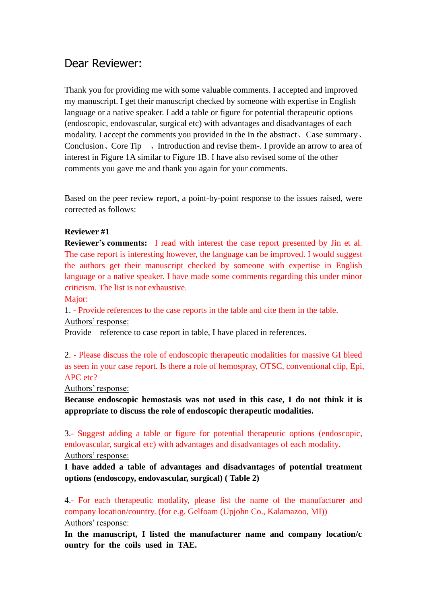## Dear Reviewer:

Thank you for providing me with some valuable comments. I accepted and improved my manuscript. I get their manuscript checked by someone with expertise in English language or a native speaker. I add a table or figure for potential therapeutic options (endoscopic, endovascular, surgical etc) with advantages and disadvantages of each modality. I accept the comments you provided in the In the abstract、Case summary、 Conclusion、Core Tip 、Introduction and revise them-. I provide an arrow to area of interest in Figure 1A similar to Figure 1B. I have also revised some of the other comments you gave me and thank you again for your comments.

Based on the peer review report, a point-by-point response to the issues raised, were corrected as follows:

## **Reviewer #1**

**Reviewer's comments:** I read with interest the case report presented by Jin et al. The case report is interesting however, the language can be improved. I would suggest the authors get their manuscript checked by someone with expertise in English language or a native speaker. I have made some comments regarding this under minor criticism. The list is not exhaustive.

Major:

1. - Provide references to the case reports in the table and cite them in the table. Authors' response:

Provide reference to case report in table, I have placed in references.

2. - Please discuss the role of endoscopic therapeutic modalities for massive GI bleed as seen in your case report. Is there a role of hemospray, OTSC, conventional clip, Epi, APC etc?

Authors' response:

**Because endoscopic hemostasis was not used in this case, I do not think it is appropriate to discuss the role of endoscopic therapeutic modalities.**

3.- Suggest adding a table or figure for potential therapeutic options (endoscopic, endovascular, surgical etc) with advantages and disadvantages of each modality. Authors' response:

**I have added a table of advantages and disadvantages of potential treatment options (endoscopy, endovascular, surgical) ( Table 2)**

4.- For each therapeutic modality, please list the name of the manufacturer and company location/country. (for e.g. Gelfoam (Upjohn Co., Kalamazoo, MI)) Authors' response:

**In the manuscript, I listed the manufacturer name and company location/c ountry for the coils used in TAE.**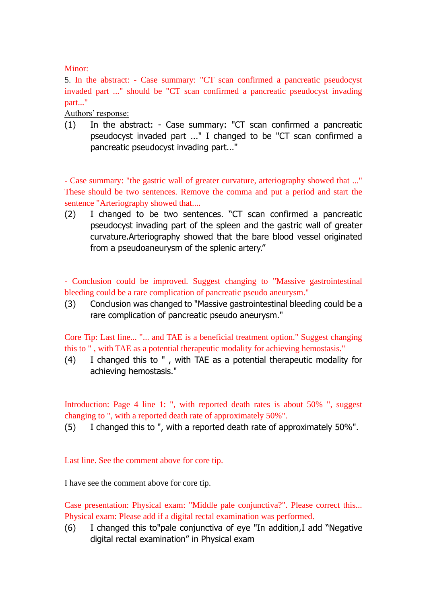## Minor:

5. In the abstract: - Case summary: "CT scan confirmed a pancreatic pseudocyst invaded part ..." should be "CT scan confirmed a pancreatic pseudocyst invading part..."

Authors' response:

(1) In the abstract: - Case summary: "CT scan confirmed a pancreatic pseudocyst invaded part ..." I changed to be "CT scan confirmed a pancreatic pseudocyst invading part..."

- Case summary: "the gastric wall of greater curvature, arteriography showed that ..." These should be two sentences. Remove the comma and put a period and start the sentence "Arteriography showed that....

(2) I changed to be two sentences. "CT scan confirmed a pancreatic pseudocyst invading part of the spleen and the gastric wall of greater curvature.Arteriography showed that the bare blood vessel originated from a pseudoaneurysm of the splenic artery."

- Conclusion could be improved. Suggest changing to "Massive gastrointestinal bleeding could be a rare complication of pancreatic pseudo aneurysm."

(3) Conclusion was changed to "Massive gastrointestinal bleeding could be a rare complication of pancreatic pseudo aneurysm."

Core Tip: Last line... "... and TAE is a beneficial treatment option." Suggest changing this to " , with TAE as a potential therapeutic modality for achieving hemostasis."

(4) I changed this to " , with TAE as a potential therapeutic modality for achieving hemostasis."

Introduction: Page 4 line 1: ", with reported death rates is about 50% ", suggest changing to ", with a reported death rate of approximately 50%".

(5) I changed this to ", with a reported death rate of approximately 50%".

Last line. See the comment above for core tip.

I have see the comment above for core tip.

Case presentation: Physical exam: "Middle pale conjunctiva?". Please correct this... Physical exam: Please add if a digital rectal examination was performed.

(6) I changed this to"pale conjunctiva of eye "In addition,I add "Negative digital rectal examination" in Physical exam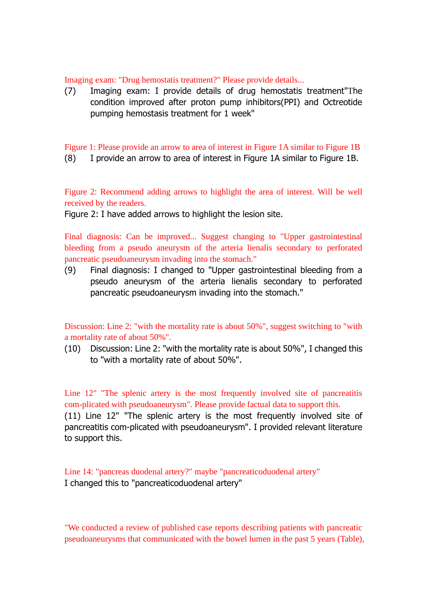Imaging exam: "Drug hemostatis treatment?" Please provide details...

(7) Imaging exam: I provide details of drug hemostatis treatment"The condition improved after proton pump inhibitors(PPI) and Octreotide pumping hemostasis treatment for 1 week"

Figure 1: Please provide an arrow to area of interest in Figure 1A similar to Figure 1B

(8) I provide an arrow to area of interest in Figure 1A similar to Figure 1B.

Figure 2: Recommend adding arrows to highlight the area of interest. Will be well received by the readers.

Figure 2: I have added arrows to highlight the lesion site.

Final diagnosis: Can be improved... Suggest changing to "Upper gastrointestinal bleeding from a pseudo aneurysm of the arteria lienalis secondary to perforated pancreatic pseudoaneurysm invading into the stomach."

(9) Final diagnosis: I changed to "Upper gastrointestinal bleeding from a pseudo aneurysm of the arteria lienalis secondary to perforated pancreatic pseudoaneurysm invading into the stomach."

Discussion: Line 2: "with the mortality rate is about 50%", suggest switching to "with a mortality rate of about 50%".

(10) Discussion: Line 2: "with the mortality rate is about 50%", I changed this to "with a mortality rate of about 50%".

Line 12" "The splenic artery is the most frequently involved site of pancreatitis com-plicated with pseudoaneurysm". Please provide factual data to support this. (11) Line 12" "The splenic artery is the most frequently involved site of pancreatitis com-plicated with pseudoaneurysm". I provided relevant literature to support this.

Line 14: "pancreas duodenal artery?" maybe "pancreaticoduodenal artery" I changed this to "pancreaticoduodenal artery"

"We conducted a review of published case reports describing patients with pancreatic pseudoaneurysms that communicated with the bowel lumen in the past 5 years (Table),